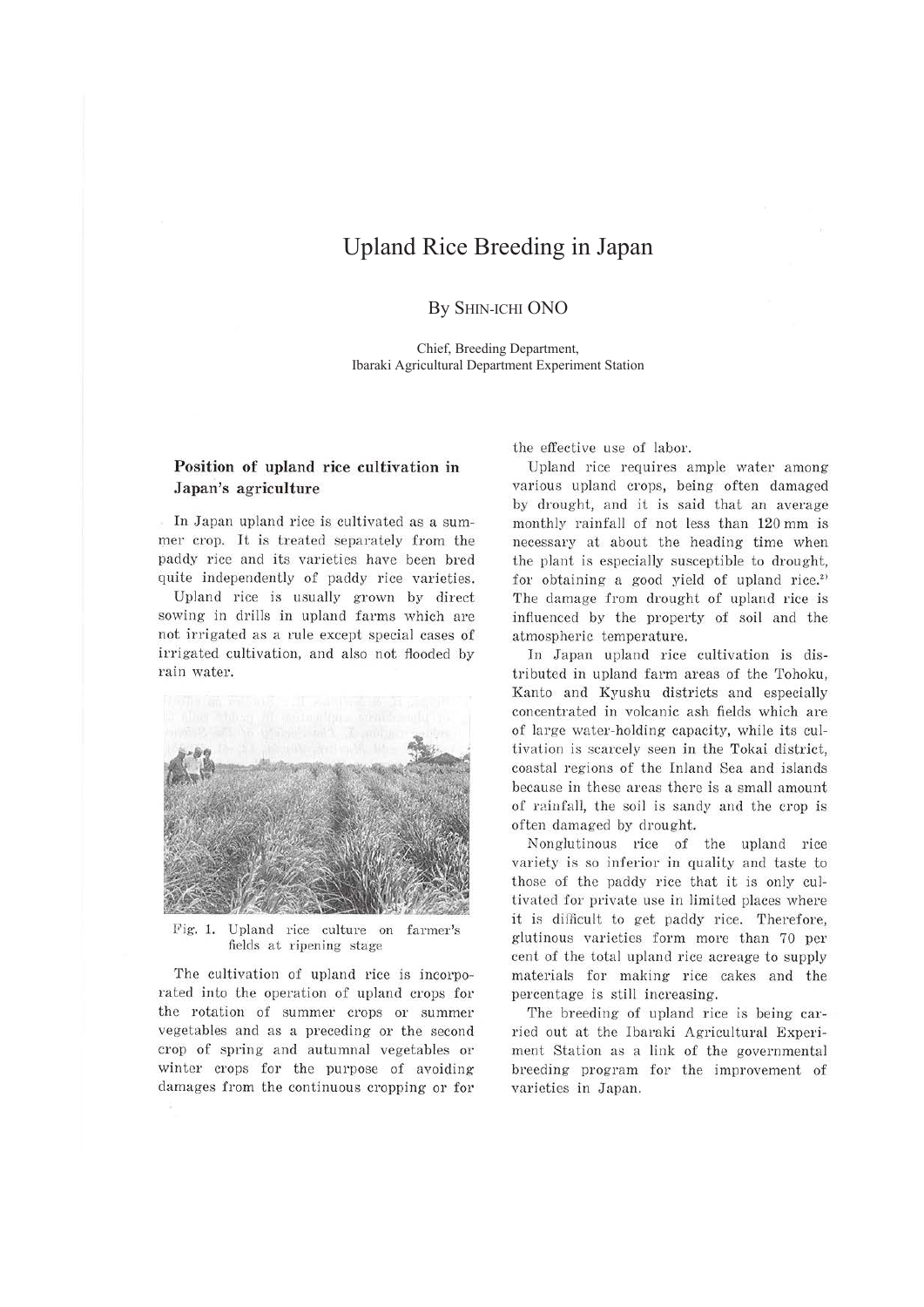# Upland Rice Breeding in Japan

By SHIN-ICHI ONO

Chief, Breeding Department, Ibaraki Agricultural Department Experiment Station

### **Position of upland rice cultivation in Japan's agriculture**

In Japan upland rice is cultivated as a summer crop. It is treated separately from the paddy rice and its varieties have been bred quite independently of paddy rice varieties.

Upland rice is usually grown by direct sowing in drills in upland farms which are not irrigated as a rule except special cases of irrigated cultivation, and also not flooded by rain water.



Fig. 1. Upland rice culture on farmer's fields at ripening stage

The cultivation of upland rice is incorporated into the operation of upland crops for the rotation of summer crops or summer vegetables and as a preceding or the second crop of spring and autumnal vegetables or winter crops for the purpose of avoiding damages from the continuous cropping or for the effective use of labor.

Upland rice requires ample water among various upland crops, being often damaged by drought, and it is said that an average monthly rainfall of not less than 120 mm is necessary at about the heading time when the plant is especially susceptible to drought, for obtaining a good yield of upland rice.<sup>2)</sup> The damage from drought of upland rice is influ enced by the property of soil and the atmospheric temperature.

In Japan upland rice cultivation is distributed in upland farm areas of the Tohoku, Kanta and Kyushu districts and especially concentrated in volcanic ash fields which are of large water-holding capacity, while its cultivation is scarcely seen in the Tokai district, coastal regions of the Inland Sea and islands because in these areas there is a small amount of rainfall, the soil is sandy and the crop is often damaged by drought.

Nonglutinous rice of the upland rice variety is so inferior in quality and taste to those of the paddy rice that it is only cultivated for private use in limited places where it is difficult to get paddy rice. Therefore, glutinous varieties form more than 70 per cent of the total upland rice acreage to supply materials for making rice cakes and the percentage is still increasing.

The breeding of upland rice is being carried out at the Ibaraki Agricultural Experiment Station as a link of the governmental breeding program for the improvement of varieties in Japan.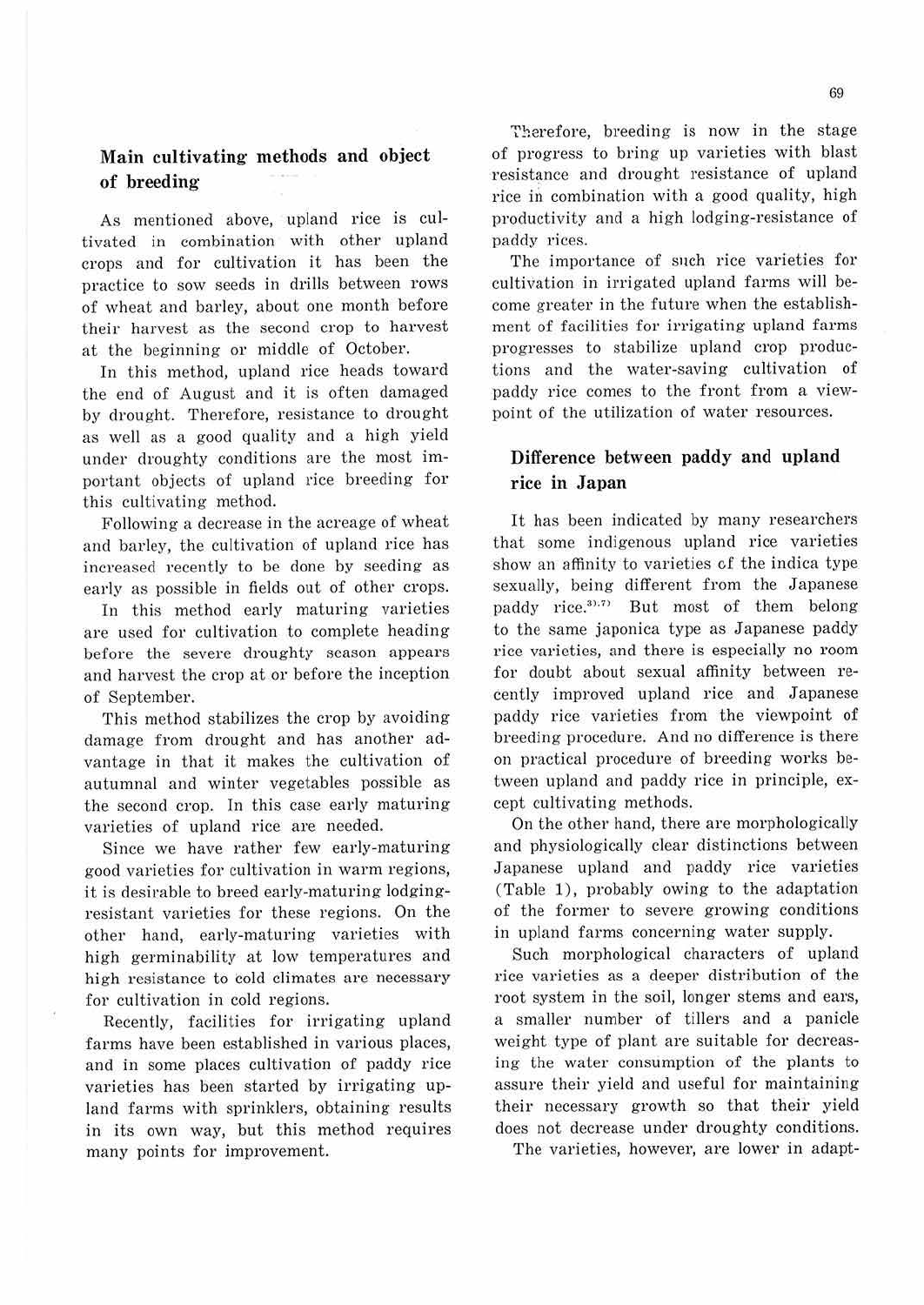## **Main cultivating· methods and object of breeding**

As mentioned above, upland rice is cultivated in combination with other upland crops and for cultivation it has been the practice to sow seeds in drills between rows of wheat and barley, about one month before their harvest as the second crop to harvest at the beginning or middle of October.

In this method, upland rice heads toward the end of August and it is often damaged by drought. Therefore, resistance to drought as well as a good quality and a high yield under droughty conditions are the most important objects of upland rice breeding for this cultivating method.

Following a decrease in the acreage of wheat and barley, the cultivation of upland rice has increased recently to be done by seeding as early as possible in fields out of other crops.

In this method early maturing varieties are used for cultivation to complete heading before the severe droughty season appears and harvest the crop at or before the inception of September.

This method stabilizes the crop by avoiding damage from drought and has another advantage in that it makes the cultivation of autumnal and winter vegetables possible as the second crop. In this case early maturing varieties of upland rice are needed.

Since we have rather few early-maturing good varieties for cultivation in warm regions, it is desirable to breed early-maturing lodgingresistant varieties for these regions. On the other hand, early-maturing varieties with high germinability at low temperatures and high resistance to cold climates are necessary for cultivation in cold regions.

Recently, facilities for irrigating upland farms have been established in various places, and in some places cultivation of paddy rice varieties has been started by irrigating upland farms with sprinklers, obtaining results in its own way, but this method requires many points for improvement.

Therefore, breeding is now in the stage of progress to bring up varieties with blast resistance and drought resistance of upland rice in combination with a good quality, high productivity and a high lodging-resistance of paddy rices.

The importance of such rice varieties for cultivation in irrigated upland farms will become greater in the future when the establishment of facilities for irrigating upland farms progresses to stabilize upland crop productions and the water-saving cultivation of paddy rice comes to the front from a viewpoint of the utilization of water resources.

### **Difference between paddy and upland rice in Japan**

It has been indicated by many researchers that some indigenous upland rice varieties show an affinity to varieties cf the indica type sexually, being different from the Japanese paddy rice.<sup>31,71</sup> But most of them belong to the same japonica type as Japanese paddy rice varieties, and there is especially no room for doubt about sexual affinity between recently improved upland rice and Japanese paddy rice varieties from the viewpoint of breeding procedure. And no difference is there on practical procedure of breeding works between upland and paddy rice in principle, except cultivating methods.

On the other hand, there are morphologically and physiologically clear distinctions between Japanese upland and paddy rice varieties (Table 1), probably owing to the adaptation of the former to severe growing conditions in upland farms conceming water supply.

Such morphological characters of upland rice varieties as a deeper distribution of the root system in the soil, longer stems and ears, a smaller number of tillers and a panicle weight type of plant are suitable for decreasing the water consumption of the plants to assure their yield and useful for maintaining their necessary growth so that their yield does not decrease under droughty conditions.

The varieties, however, are lower in adapt-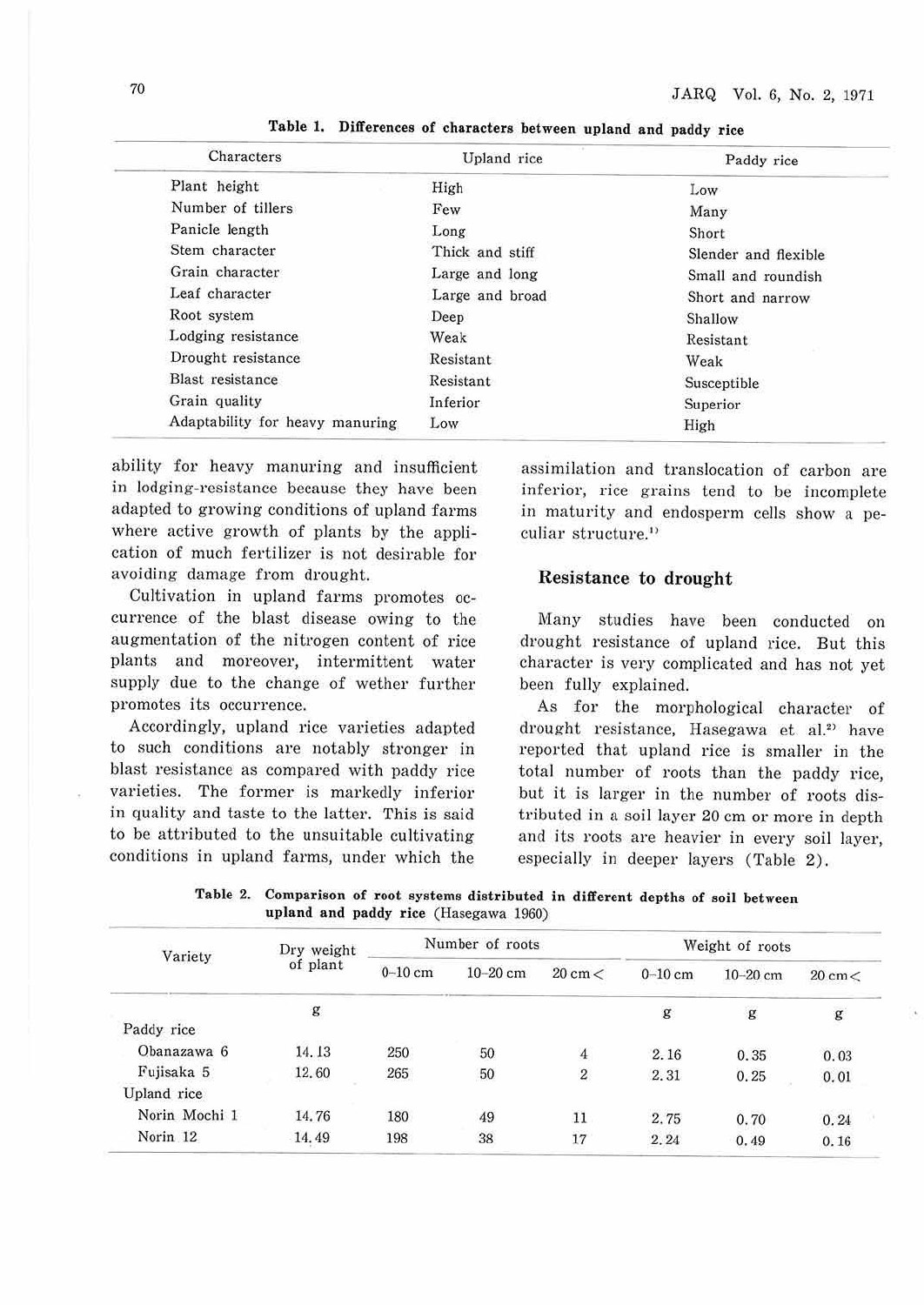| Characters                      | Upland rice              | Paddy rice<br>Low    |  |
|---------------------------------|--------------------------|----------------------|--|
| Plant height                    | High                     |                      |  |
| Number of tillers               | Few<br>Many              |                      |  |
| Panicle length                  | Long                     | Short                |  |
| Stem character                  | Thick and stiff          | Slender and flexible |  |
| Grain character                 | Large and long           | Small and roundish   |  |
| Leaf character                  | Large and broad          | Short and narrow     |  |
| Root system                     | Deep                     | Shallow              |  |
| Lodging resistance              | Weak                     | Resistant            |  |
| Drought resistance              | Resistant<br>Weak        |                      |  |
| Blast resistance                | Resistant<br>Susceptible |                      |  |
| Grain quality                   | Inferior<br>Superior     |                      |  |
| Adaptability for heavy manuring | Low                      |                      |  |

**Table 1. Differences of characters between upland and paddy rice** 

ability for heavy manuring and insufficient in lodging-resistance because they have been adapted to growing conditions of upland farms where active growth of plants by the application of much fertilizer is not desirable for avoiding damage from drought.

Cultivation in upland farms promotes occurrence of the blast disease owing to the augmentation of the nitrogen content of rice plants and moreover, intermittent water supply due to the change of wether further promotes its occurrence.

Accordingly, upland rice varieties adapted to such conditions are notably stronger in blast resistance as compared with paddy rice varieties. The former is markedly inferior in quality and taste to the latter. This is said to be attributed to the unsuitable cultivating conditions in upland farms, under which the assimilation and translocation of carbon are inferior, rice grains tend to be incomplete in maturity and endosperm cells show a peculiar structure.''

### **Resistance to drought**

Many studies have been conducted on drought resistance of upland rice. But this character is very complicated and has not yet been fully explained.

As for the morphological character of drought resistance, Hasegawa et al.<sup>2)</sup> have reported that upland rice is smaller in the total number of roots than the paddy rice, but it is larger in the number of roots distributed in a soil layer 20 cm or more in depth and its roots are heavier in every soil layer, especially in deeper layers (Table 2).

**Table 2. Comparison of root systems distributed in different depths of** soil **between upland and paddy rice** (Hasegawa 1960)

| Variety             | Dry weight<br>of plant | Number of roots |            |                   | Weight of roots |              |                 |
|---------------------|------------------------|-----------------|------------|-------------------|-----------------|--------------|-----------------|
|                     |                        | $0-10$ cm       | $10-20$ cm | $20 \text{ cm} <$ | $0-10$ cm       | $10 - 20$ cm | $20 \text{ cm}$ |
|                     | g                      |                 |            |                   | g               | g            | g               |
| Paddy rice          |                        |                 |            |                   |                 |              |                 |
| Obanazawa 6         | 14.13                  | 250             | 50         | $\overline{4}$    | 2.16            | 0.35         | 0.03            |
| Fujisaka 5          | 12.60                  | 265             | 50         | $\boldsymbol{2}$  | 2.31            | 0.25         | 0.01            |
| Upland rice         |                        |                 |            |                   |                 |              |                 |
| Norin Mochi 1       | 14.76                  | 180             | 49         | 11                | 2.75            | 0.70         | 0.24            |
| Norin <sub>12</sub> | 14.49                  | 198             | 38         | 17                | 2.24            | 0.49         | 0.16            |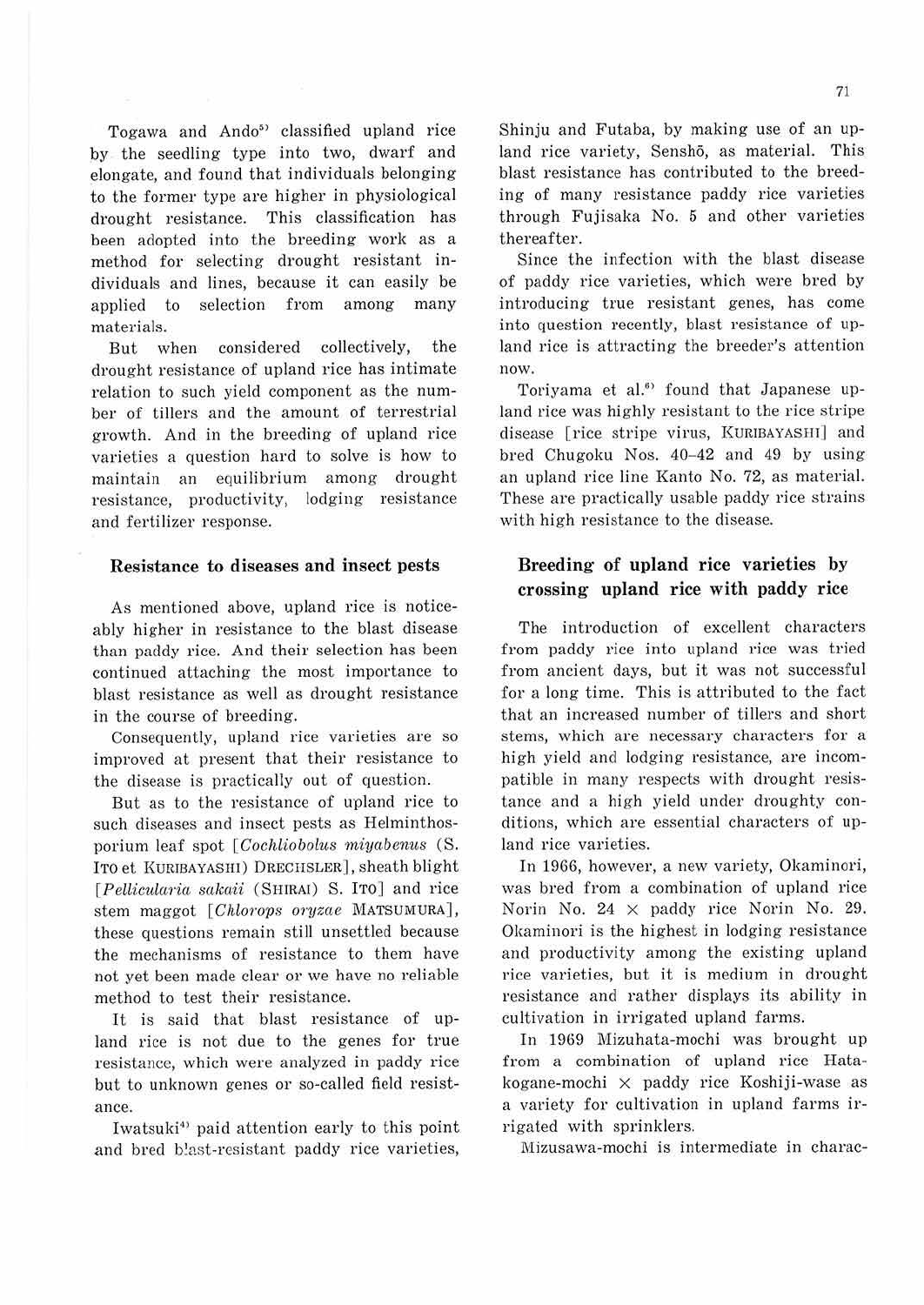Togawa and Ando<sup>5</sup> classified upland rice by the seedling type into two, dwarf and elongate, and found that individuals belonging to the former type are higher in physiological drought resistance. This classification has been adopted into the breeding work as a method for selecting drought resistant individuals and lines, because it can easily be applied to selection from among many materials.

But when considered collectively, the drought resistance of upland rice has intimate relation to such yield component as the number of tillers and the amount of terrestrial growth. And in the breeding of upland rice varieties a question hard to solve is how to maintain an equilibrium among drought resistance, productivity, lodging resistance and fertilizer response.

#### **Resistance to diseases and insect pests**

As mentioned above, upland rice is noticeably higher in resistance to the blast disease than paddy rice. And their selection has been continued attaching the most importance to blast resistance as well as drought resistance in the course of breeding.

Consequently, upland rice varieties are so improved at present that their resistance to the disease is practically out of question.

But as to the resistance of upland rice to such diseases and insect pests as Helminthosporium leaf spot [Cochliobolus miyabenus (S. ITO et KUR!BAYASHI) DRECHSLER], sheath blight [Pellicularia sakaii (SHIRAI) S. ITO] and rice stem maggot [Chlorops oryzae MATSUMURA], these questions remain still unsettled because the mechanisms of resistance to them have not yet been made clear or we have no reliable method to test their resistance.

It is said that blast resistance of upland rice is not due to the genes for true resistance, which were analyzed in paddy rice but to unknown genes or so-called field resistance.

Iwatsuki<sup>4)</sup> paid attention early to this point and bred blast-resistant paddy rice varieties,

Shinju and Futaba, by making use of an upland rice variety, Senshō, as material. This blast resistance has contributed to the breeding of many resistance paddy rice varieties through Fujisaka No. 5 and other varieties thereafter.

Since the infection with the blast disease of paddy rice varieties, which were bred by introducing true resistant genes, has come into question recently, blast resistance of upland rice is attracting the breeder's attention now.

Toriyama et al.<sup>6</sup> found that Japanese upland rice was highly resistant to the rice stripe disease [rice stripe virus, KURIBAYASHT] and bred Chugoku Nos. 40-42 and 49 by using an upland rice line Kanto No. 72, as material. These are practically usable paddy rice strains with high resistance to the disease.

### **Breeding- of upland rice varieties by crossing- upland rice with paddy rice**

The introduction of excellent characters from paddy rice into upland rice was tried from ancient days, but it was not successful for a long time. This is attributed to the fact that an increased number of tillers and short stems, which are necessary characters for a high yield and lodging resistance, are incompatible in many respects with drought resistance and a high yield under droughty conditions, which are essential characters of upland rice varieties.

In 1966, however, a new variety, Okaminori, was bred from a combination of upland rice Norin No. 24 x paddy rice Norin No. 29. Okaminori is the highest in lodging resistance and productivity among the existing upland rice varieties, but it is medium in drought resistance and rather displays its ability in cultivation in irrigated upland farms.

In 1969 Mizuhata-mochi was brought up from a combination of upland rice Hatakogane-mochi X paddy rice Koshiji-wase as a variety for cultivation in upland farms irrigated with sprinklers.

Mizusawa-mochi is intermediate in charac-